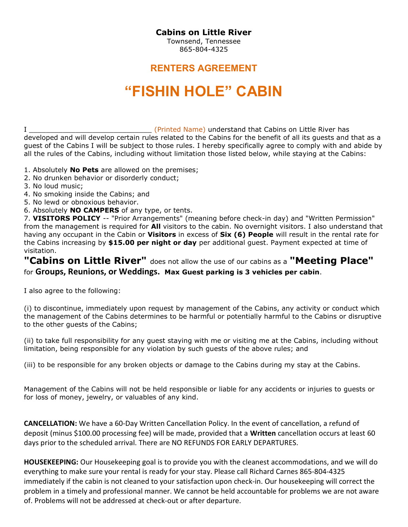## Cabins on Little River

Townsend, Tennessee 865-804-4325

## RENTERS AGREEMENT

## "FISHIN HOLE" CABIN

I Letter that the same of the United Name) understand that Cabins on Little River has developed and will develop certain rules related to the Cabins for the benefit of all its guests and that as a guest of the Cabins I will be subject to those rules. I hereby specifically agree to comply with and abide by all the rules of the Cabins, including without limitation those listed below, while staying at the Cabins:

- 1. Absolutely **No Pets** are allowed on the premises;
- 2. No drunken behavior or disorderly conduct;
- 3. No loud music;
- 4. No smoking inside the Cabins; and
- 5. No lewd or obnoxious behavior.
- 6. Absolutely NO CAMPERS of any type, or tents.

7. VISITORS POLICY -- "Prior Arrangements" (meaning before check-in day) and "Written Permission" from the management is required for **All** visitors to the cabin. No overnight visitors. I also understand that having any occupant in the Cabin or Visitors in excess of Six (6) People will result in the rental rate for the Cabins increasing by \$15.00 per night or day per additional guest. Payment expected at time of visitation.

"Cabins on Little River" does not allow the use of our cabins as a "Meeting Place" for Groups, Reunions, or Weddings. Max Guest parking is 3 vehicles per cabin.

I also agree to the following:

(i) to discontinue, immediately upon request by management of the Cabins, any activity or conduct which the management of the Cabins determines to be harmful or potentially harmful to the Cabins or disruptive to the other guests of the Cabins;

(ii) to take full responsibility for any guest staying with me or visiting me at the Cabins, including without limitation, being responsible for any violation by such guests of the above rules; and

(iii) to be responsible for any broken objects or damage to the Cabins during my stay at the Cabins.

Management of the Cabins will not be held responsible or liable for any accidents or injuries to guests or for loss of money, jewelry, or valuables of any kind.

CANCELLATION: We have a 60-Day Written Cancellation Policy. In the event of cancellation, a refund of deposit (minus \$100.00 processing fee) will be made, provided that a Written cancellation occurs at least 60 days prior to the scheduled arrival. There are NO REFUNDS FOR EARLY DEPARTURES.

HOUSEKEEPING: Our Housekeeping goal is to provide you with the cleanest accommodations, and we will do everything to make sure your rental is ready for your stay. Please call Richard Carnes 865-804-4325 immediately if the cabin is not cleaned to your satisfaction upon check-in. Our housekeeping will correct the problem in a timely and professional manner. We cannot be held accountable for problems we are not aware of. Problems will not be addressed at check-out or after departure.